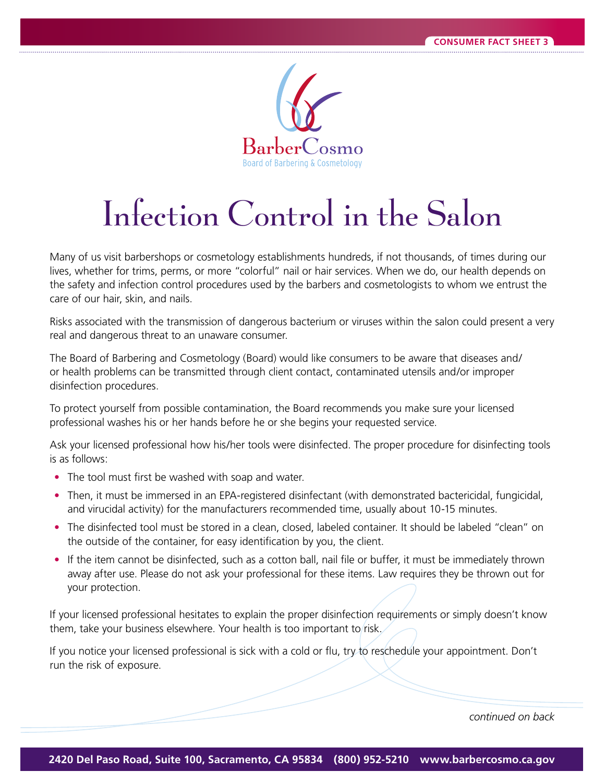

## Infection Control in the Salon

Many of us visit barbershops or cosmetology establishments hundreds, if not thousands, of times during our lives, whether for trims, perms, or more "colorful" nail or hair services. When we do, our health depends on the safety and infection control procedures used by the barbers and cosmetologists to whom we entrust the care of our hair, skin, and nails.

Risks associated with the transmission of dangerous bacterium or viruses within the salon could present a very real and dangerous threat to an unaware consumer.

The Board of Barbering and Cosmetology (Board) would like consumers to be aware that diseases and/ or health problems can be transmitted through client contact, contaminated utensils and /or improper disinfection procedures.

To protect yourself from possible contamination, the Board recommends you make sure your licensed professional washes his or her hands before he or she begins your requested service.

Ask your licensed professional how his/her tools were disinfected. The proper procedure for disinfecting tools is as follows:

- The tool must first be washed with soap and water.
- Then, it must be immersed in an EPA-registered disinfectant (with demonstrated bactericidal, fungicidal, and virucidal activity) for the manufacturers recommended time, usually about 10-15 minutes.
- The disinfected tool must be stored in a clean, closed, labeled container. It should be labeled "clean" on the outside of the container, for easy identification by you, the client.
- If the item cannot be disinfected, such as a cotton ball, nail file or buffer, it must be immediately thrown away after use. Please do not ask your professional for these items. Law requires they be thrown out for your protection.

If your licensed professional hesitates to explain the proper disinfection requirements or simply doesn't know them, take your business elsewhere. Your health is too important to risk.

If you notice your licensed professional is sick with a cold or flu, try to reschedule your appointment. Don't run the risk of exposure.

*continued on back*